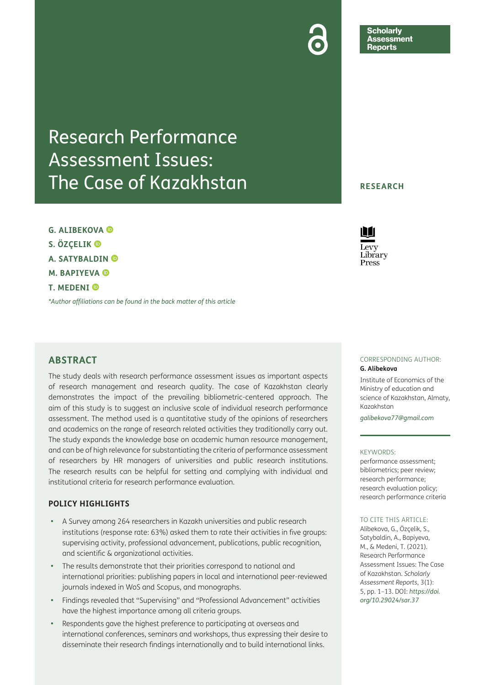Research Performance Assessment Issues: The Case of Kazakhstan

**G. ALIBEKOVA S. ÖZÇELIK A. SATYBALDIN M. BAPIYEVA T. MEDENI** 

*[\\*Author affiliations can be found in the back matter of this article](#page-11-0)*

# **ABSTRACT**

The study deals with research performance assessment issues as important aspects of research management and research quality. The case of Kazakhstan clearly demonstrates the impact of the prevailing bibliometric-centered approach. The aim of this study is to suggest an inclusive scale of individual research performance assessment. The method used is a quantitative study of the opinions of researchers and academics on the range of research related activities they traditionally carry out. The study expands the knowledge base on academic human resource management, and can be of high relevance for substantiating the criteria of performance assessment of researchers by HR managers of universities and public research institutions. The research results can be helpful for setting and complying with individual and institutional criteria for research performance evaluation.

## **POLICY HIGHLIGHTS**

- **•**  A Survey among 264 researchers in Kazakh universities and public research institutions (response rate: 63%) asked them to rate their activities in five groups: supervising activity, professional advancement, publications, public recognition, and scientific & organizational activities.
- The results demonstrate that their priorities correspond to national and international priorities: publishing papers in local and international peer-reviewed journals indexed in WoS and Scopus, and monographs.
- Findings revealed that "Supervising" and "Professional Advancement" activities have the highest importance among all criteria groups.
- Respondents gave the highest preference to participating at overseas and international conferences, seminars and workshops, thus expressing their desire to disseminate their research findings internationally and to build international links.

## **RESEARCH**

**Scholarly** Assessment **Reports** 



### CORRESPONDING AUTHOR: **G. Alibekova**

Institute of Economics of the Ministry of education and science of Kazakhstan, Almaty, Kazakhstan

*[galibekova77@gmail.com](mailto:galibekova77@gmail.com)*

### KEYWORDS:

performance assessment; bibliometrics; peer review; research performance; research evaluation policy; research performance criteria

## TO CITE THIS ARTICLE:

Alibekova, G., Özçelik, S., Satybaldin, A., Bapiyeva, M., & Medeni, T. (2021). Research Performance Assessment Issues: The Case of Kazakhstan. *Scholarly Assessment Reports*, 3(1): 5, pp. 1–13. DOI: *[https://doi.](https://doi.org/10.29024/sar.37) [org/10.29024/sar.37](https://doi.org/10.29024/sar.37)*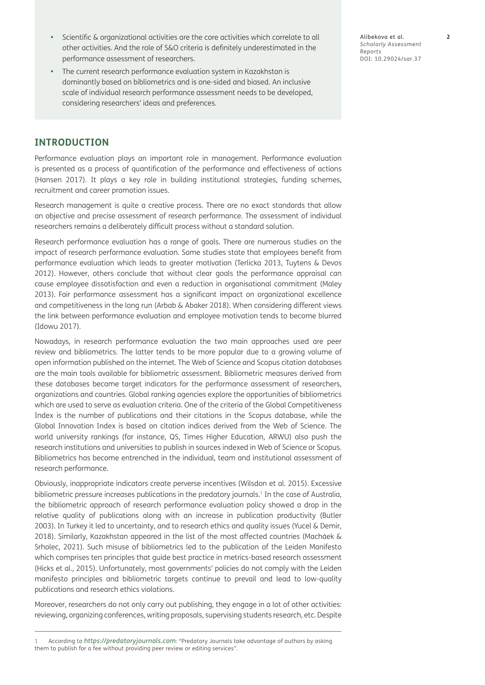- Scientific & organizational activities are the core activities which correlate to all other activities. And the role of S&O criteria is definitely underestimated in the performance assessment of researchers.
- The current research performance evaluation system in Kazakhstan is dominantly based on bibliometrics and is one-sided and biased. An inclusive scale of individual research performance assessment needs to be developed, considering researchers' ideas and preferences.

Alibekova et al. **2** *Scholarly Assessment Reports* DOI: [10.29024/sar.37](https://doi.org/10.29024/sar.37)

# **INTRODUCTION**

Performance evaluation plays an important role in management. Performance evaluation is presented as a process of quantification of the performance and effectiveness of actions (Hansen 2017). It plays a key role in building institutional strategies, funding schemes, recruitment and career promotion issues.

Research management is quite a creative process. There are no exact standards that allow an objective and precise assessment of research performance. The assessment of individual researchers remains a deliberately difficult process without a standard solution.

Research performance evaluation has a range of goals. There are numerous studies on the impact of research performance evaluation. Some studies state that employees benefit from performance evaluation which leads to greater motivation (Terlicka 2013, Tuytens & Devos 2012). However, others conclude that without clear goals the performance appraisal can cause employee dissatisfaction and even a reduction in organisational commitment (Maley 2013). Fair performance assessment has a significant impact on organizational excellence and competitiveness in the long run (Arbab & Abaker 2018). When considering different views the link between performance evaluation and employee motivation tends to become blurred (Idowu 2017).

Nowadays, in research performance evaluation the two main approaches used are peer review and bibliometrics. The latter tends to be more popular due to a growing volume of open information published on the internet. The Web of Science and Scopus citation databases are the main tools available for bibliometric assessment. Bibliometric measures derived from these databases became target indicators for the performance assessment of researchers, organizations and countries. Global ranking agencies explore the opportunities of bibliometrics which are used to serve as evaluation criteria. One of the criteria of the Global Competitiveness Index is the number of publications and their citations in the Scopus database, while the Global Innovation Index is based on citation indices derived from the Web of Science. The world university rankings (for instance, QS, Times Higher Education, ARWU) also push the research institutions and universities to publish in sources indexed in Web of Science or Scopus. Bibliometrics has become entrenched in the individual, team and institutional assessment of research performance.

Obviously, inappropriate indicators create perverse incentives (Wilsdon et al. 2015). Excessive bibliometric pressure increases publications in the predatory journals.<sup>1</sup> In the case of Australia, the bibliometric approach of research performance evaluation policy showed a drop in the relative quality of publications along with an increase in publication productivity (Butler 2003). In Turkey it led to uncertainty, and to research ethics and quality issues (Yucel & Demir, 2018). Similarly, Kazakhstan appeared in the list of the most affected countries (Macháek & Srholec, 2021). Such misuse of bibliometrics led to the publication of the Leiden Manifesto which comprises ten principles that guide best practice in metrics-based research assessment (Hicks et al., 2015). Unfortunately, most governments' policies do not comply with the Leiden manifesto principles and bibliometric targets continue to prevail and lead to low-quality publications and research ethics violations.

Moreover, researchers do not only carry out publishing, they engage in a lot of other activities: reviewing, organizing conferences, writing proposals, supervising students research, etc. Despite

<sup>1</sup> According to *<https://predatoryjournals.com>*: "Predatory Journals take advantage of authors by asking them to publish for a fee without providing peer review or editing services".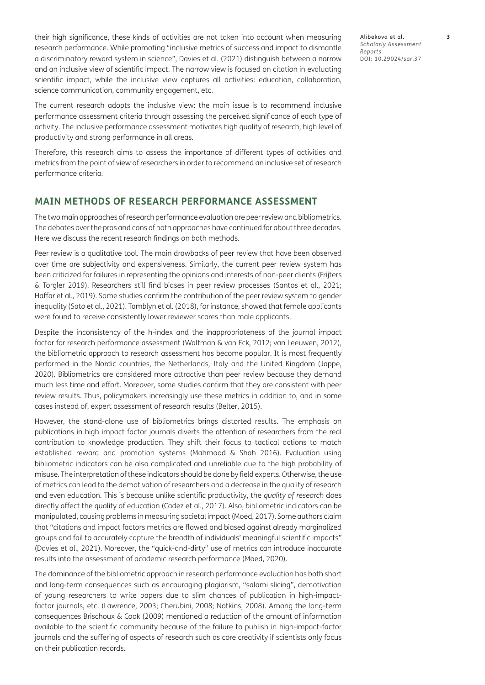their high significance, these kinds of activities are not taken into account when measuring research performance. While promoting "inclusive metrics of success and impact to dismantle a discriminatory reward system in science", Davies et al. (2021) distinguish between a narrow and an inclusive view of scientific impact. The narrow view is focused on citation in evaluating scientific impact, while the inclusive view captures all activities: education, collaboration, science communication, community engagement, etc.

The current research adopts the inclusive view: the main issue is to recommend inclusive performance assessment criteria through assessing the perceived significance of each type of activity. The inclusive performance assessment motivates high quality of research, high level of productivity and strong performance in all areas.

Therefore, this research aims to assess the importance of different types of activities and metrics from the point of view of researchers in order to recommend an inclusive set of research performance criteria*.*

# **MAIN METHODS OF RESEARCH PERFORMANCE ASSESSMENT**

The two main approaches of research performance evaluation are peer review and bibliometrics. The debates over the pros and cons of both approaches have continued for about three decades. Here we discuss the recent research findings on both methods.

Peer review is a qualitative tool. The main drawbacks of peer review that have been observed over time are subjectivity and expensiveness. Similarly, the current peer review system has been criticized for failures in representing the opinions and interests of non-peer clients (Frijters & Torgler 2019). Researchers still find biases in peer review processes (Santos et al., 2021; Haffar et al., 2019). Some studies confirm the contribution of the peer review system to gender inequality (Sato et al., 2021). Tamblyn et al. (2018), for instance, showed that female applicants were found to receive consistently lower reviewer scores than male applicants.

Despite the inconsistency of the h-index and the inappropriateness of the journal impact factor for research performance assessment (Waltman & van Eck, 2012; van Leeuwen, 2012), the bibliometric approach to research assessment has become popular. It is most frequently performed in the Nordic countries, the Netherlands, Italy and the United Kingdom (Jappe, 2020). Bibliometrics are considered more attractive than peer review because they demand much less time and effort. Moreover, some studies confirm that they are consistent with peer review results. Thus, policymakers increasingly use these metrics in addition to, and in some cases instead of, expert assessment of research results (Belter, 2015).

However, the stand-alone use of bibliometrics brings distorted results. The emphasis on publications in high impact factor journals diverts the attention of researchers from the real contribution to knowledge production. They shift their focus to tactical actions to match established reward and promotion systems (Mahmood & Shah 2016). Evaluation using bibliometric indicators can be also complicated and unreliable due to the high probability of misuse. The interpretation of these indicators should be done by field experts. Otherwise, the use of metrics can lead to the demotivation of researchers and a decrease in the quality of research and even education. This is because unlike scientific productivity, the *quality of research* does directly affect the quality of education (Cadez et al., 2017). Also, bibliometric indicators can be manipulated, causing problems in measuring societal impact (Moed, 2017). Some authors claim that "citations and impact factors metrics are flawed and biased against already marginalized groups and fail to accurately capture the breadth of individuals' meaningful scientific impacts" (Davies et al., 2021). Moreover, the "quick-and-dirty" use of metrics can introduce inaccurate results into the assessment of academic research performance (Moed, 2020).

The dominance of the bibliometric approach in research performance evaluation has both short and long-term consequences such as encouraging plagiarism, "salami slicing", demotivation of young researchers to write papers due to slim chances of publication in high-impactfactor journals, etc. (Lawrence, 2003; Cherubini, 2008; Notkins, 2008). Among the long-term consequences Brischoux & Cook (2009) mentioned a reduction of the amount of information available to the scientific community because of the failure to publish in high-impact-factor journals and the suffering of aspects of research such as core creativity if scientists only focus on their publication records.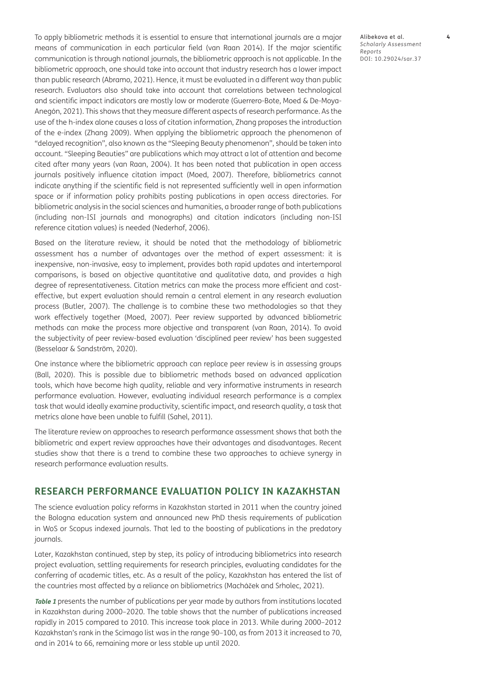To apply bibliometric methods it is essential to ensure that international journals are a major means of communication in each particular field (van Raan 2014). If the major scientific communication is through national journals, the bibliometric approach is not applicable. In the bibliometric approach, one should take into account that industry research has a lower impact than public research (Abramo, 2021). Hence, it must be evaluated in a different way than public research. Evaluators also should take into account that correlations between technological and scientific impact indicators are mostly low or moderate (Guerrero-Bote, Moed & De-Moya-Anegón, 2021). This shows that they measure different aspects of research performance. As the use of the h-index alone causes a loss of citation information, Zhang proposes the introduction of the e-index (Zhang 2009). When applying the bibliometric approach the phenomenon of "delayed recognition", also known as the "Sleeping Beauty phenomenon", should be taken into account. "Sleeping Beauties" are publications which may attract a lot of attention and become cited after many years (van Raan, 2004). It has been noted that publication in open access journals positively influence citation impact (Moed, 2007). Therefore, bibliometrics cannot indicate anything if the scientific field is not represented sufficiently well in open information space or if information policy prohibits posting publications in open access directories. For bibliometric analysis in the social sciences and humanities, a broader range of both publications (including non-ISI journals and monographs) and citation indicators (including non-ISI reference citation values) is needed (Nederhof, 2006).

Based on the literature review, it should be noted that the methodology of bibliometric assessment has a number of advantages over the method of expert assessment: it is inexpensive, non-invasive, easy to implement, provides both rapid updates and intertemporal comparisons, is based on objective quantitative and qualitative data, and provides a high degree of representativeness. Citation metrics can make the process more efficient and costeffective, but expert evaluation should remain a central element in any research evaluation process (Butler, 2007). The challenge is to combine these two methodologies so that they work effectively together (Moed, 2007). Peer review supported by advanced bibliometric methods can make the process more objective and transparent (van Raan, 2014). To avoid the subjectivity of peer review-based evaluation 'disciplined peer review' has been suggested (Besselaar & Sandström, 2020).

One instance where the bibliometric approach can replace peer review is in assessing groups (Ball, 2020). This is possible due to bibliometric methods based on advanced application tools, which have become high quality, reliable and very informative instruments in research performance evaluation. However, evaluating individual research performance is a complex task that would ideally examine productivity, scientific impact, and research quality, a task that metrics alone have been unable to fulfill (Sahel, 2011).

The literature review on approaches to research performance assessment shows that both the bibliometric and expert review approaches have their advantages and disadvantages. Recent studies show that there is a trend to combine these two approaches to achieve synergy in research performance evaluation results.

# **RESEARCH PERFORMANCE EVALUATION POLICY IN KAZAKHSTAN**

The science evaluation policy reforms in Kazakhstan started in 2011 when the country joined the Bologna education system and announced new PhD thesis requirements of publication in WoS or Scopus indexed journals. That led to the boosting of publications in the predatory journals.

Later, Kazakhstan continued, step by step, its policy of introducing bibliometrics into research project evaluation, settling requirements for research principles, evaluating candidates for the conferring of academic titles, etc. As a result of the policy, Kazakhstan has entered the list of the countries most affected by a reliance on bibliometrics (Macháček and Srholec, 2021).

**[Table 1](#page-4-0)** presents the number of publications per year made by authors from institutions located in Kazakhstan during 2000–2020. The table shows that the number of publications increased rapidly in 2015 compared to 2010. This increase took place in 2013. While during 2000–2012 Kazakhstan's rank in the Scimago list was in the range 90–100, as from 2013 it increased to 70, and in 2014 to 66, remaining more or less stable up until 2020.

Alibekova et al. **4** *Scholarly Assessment Reports* DOI: 10.29024/sar.37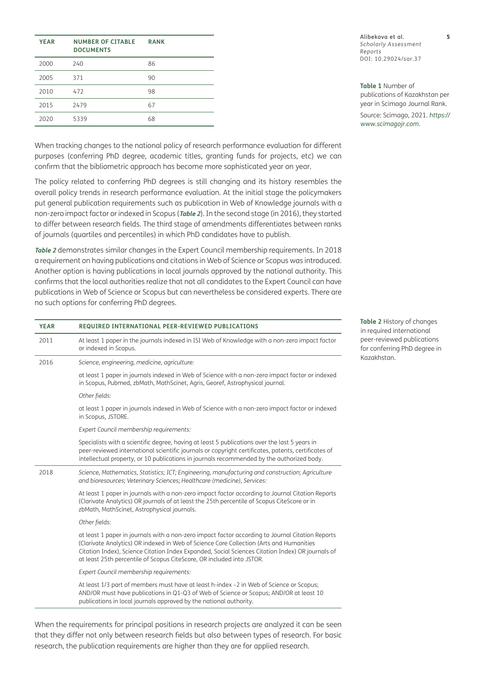| <b>YEAR</b> | <b>NUMBER OF CITABLE</b><br><b>DOCUMENTS</b> | <b>RANK</b> |
|-------------|----------------------------------------------|-------------|
| 2000        | 240                                          | 86          |
| 2005        | 371                                          | 90          |
| 2010        | 472                                          | 98          |
| 2015        | 2479                                         | 67          |
| 2020        | 5339                                         | 68          |

When tracking changes to the national policy of research performance evaluation for different purposes (conferring PhD degree, academic titles, granting funds for projects, etc) we can confirm that the bibliometric approach has become more sophisticated year on year.

The policy related to conferring PhD degrees is still changing and its history resembles the overall policy trends in research performance evaluation. At the initial stage the policymakers put general publication requirements such as publication in Web of Knowledge journals with a non-zero impact factor or indexed in Scopus (**[Table 2](#page-4-1)**). In the second stage (in 2016), they started to differ between research fields. The third stage of amendments differentiates between ranks of journals (quartiles and percentiles) in which PhD candidates have to publish.

**[Table 2](#page-4-1)** demonstrates similar changes in the Expert Council membership requirements. In 2018 a requirement on having publications and citations in Web of Science or Scopus was introduced. Another option is having publications in local journals approved by the national authority. This confirms that the local authorities realize that not all candidates to the Expert Council can have publications in Web of Science or Scopus but can nevertheless be considered experts. There are no such options for conferring PhD degrees.

| <b>YEAR</b> | <b>REQUIRED INTERNATIONAL PEER-REVIEWED PUBLICATIONS</b>                                                                                                                                                                                                                                                                                                                 |  |  |  |  |  |  |
|-------------|--------------------------------------------------------------------------------------------------------------------------------------------------------------------------------------------------------------------------------------------------------------------------------------------------------------------------------------------------------------------------|--|--|--|--|--|--|
| 2011        | At least 1 paper in the journals indexed in ISI Web of Knowledge with a non-zero impact factor<br>or indexed in Scopus.                                                                                                                                                                                                                                                  |  |  |  |  |  |  |
| 2016        | Science, engineering, medicine, agriculture:                                                                                                                                                                                                                                                                                                                             |  |  |  |  |  |  |
|             | at least 1 paper in journals indexed in Web of Science with a non-zero impact factor or indexed<br>in Scopus, Pubmed, zbMath, MathScinet, Agris, Georef, Astrophysical journal.                                                                                                                                                                                          |  |  |  |  |  |  |
|             | Other fields:                                                                                                                                                                                                                                                                                                                                                            |  |  |  |  |  |  |
|             | at least 1 paper in journals indexed in Web of Science with a non-zero impact factor or indexed<br>in Scopus, JSTORE.                                                                                                                                                                                                                                                    |  |  |  |  |  |  |
|             | Expert Council membership requirements:                                                                                                                                                                                                                                                                                                                                  |  |  |  |  |  |  |
|             | Specialists with a scientific degree, having at least 5 publications over the last 5 years in<br>peer-reviewed international scientific journals or copyright certificates, patents, certificates of<br>intellectual property, or 10 publications in journals recommended by the authorized body.                                                                        |  |  |  |  |  |  |
| 2018        | Science, Mathematics, Statistics; ICT; Engineering, manufacturing and construction; Agriculture<br>and bioresources; Veterinary Sciences; Healthcare (medicine), Services:                                                                                                                                                                                               |  |  |  |  |  |  |
|             | At least 1 paper in journals with a non-zero impact factor according to Journal Citation Reports<br>(Clarivate Analytics) OR journals of at least the 25th percentile of Scopus CiteScore or in<br>zbMath, MathScinet, Astrophysical journals.                                                                                                                           |  |  |  |  |  |  |
|             | Other fields:                                                                                                                                                                                                                                                                                                                                                            |  |  |  |  |  |  |
|             | at least 1 paper in journals with a non-zero impact factor according to Journal Citation Reports<br>(Clarivate Analytics) OR indexed in Web of Science Core Collection (Arts and Humanities<br>Citation Index), Science Citation Index Expanded, Social Sciences Citation Index) OR journals of<br>at least 25th percentile of Scopus CiteScore, OR included into JSTOR. |  |  |  |  |  |  |
|             | Expert Council membership requirements:                                                                                                                                                                                                                                                                                                                                  |  |  |  |  |  |  |
|             | At least 1/3 part of members must have at least h-index -2 in Web of Science or Scopus;<br>AND/OR must have publications in Q1-Q3 of Web of Science or Scopus; AND/OR at least 10<br>publications in local journals approved by the national authority.                                                                                                                  |  |  |  |  |  |  |

When the requirements for principal positions in research projects are analyzed it can be seen that they differ not only between research fields but also between types of research. For basic research, the publication requirements are higher than they are for applied research.

<span id="page-4-1"></span>**Table 2** History of changes in required international peer-reviewed publications for conferring PhD degree in Kazakhstan.

<span id="page-4-0"></span>**Table 1** Number of publications of Kazakhstan per year in Scimago Journal Rank. Source: Scimago, 2021. *[https://](https://www.scimagojr.com) [www.scimagojr.com](https://www.scimagojr.com)*.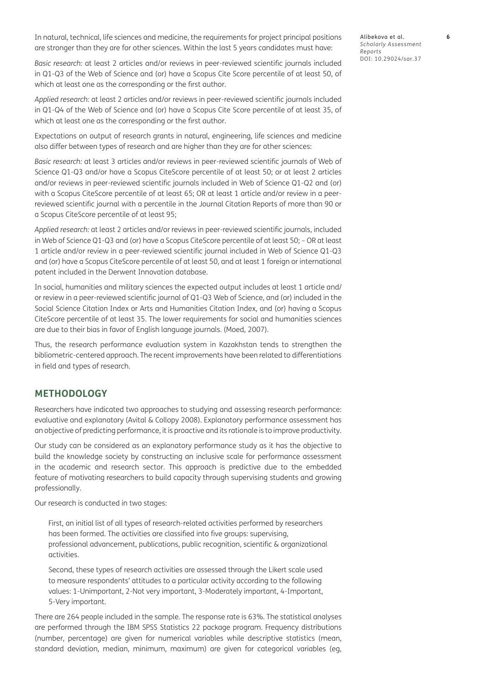In natural, technical, life sciences and medicine, the requirements for project principal positions are stronger than they are for other sciences. Within the last 5 years candidates must have:

*Basic research:* at least 2 articles and/or reviews in peer-reviewed scientific journals included in Q1-Q3 of the Web of Science and (or) have a Scopus Cite Score percentile of at least 50, of which at least one as the corresponding or the first author.

*Applied research:* at least 2 articles and/or reviews in peer-reviewed scientific journals included in Q1-Q4 of the Web of Science and (or) have a Scopus Cite Score percentile of at least 35, of which at least one as the corresponding or the first author.

Expectations on output of research grants in natural, engineering, life sciences and medicine also differ between types of research and are higher than they are for other sciences:

*Basic research:* at least 3 articles and/or reviews in peer-reviewed scientific journals of Web of Science Q1-Q3 and/or have a Scopus CiteScore percentile of at least 50; or at least 2 articles and/or reviews in peer-reviewed scientific journals included in Web of Science Q1-Q2 and (or) with a Scopus CiteScore percentile of at least 65; OR at least 1 article and/or review in a peerreviewed scientific journal with a percentile in the Journal Citation Reports of more than 90 or a Scopus CiteScore percentile of at least 95;

*Applied research:* at least 2 articles and/or reviews in peer-reviewed scientific journals, included in Web of Science Q1-Q3 and (or) have a Scopus CiteScore percentile of at least 50; – OR at least 1 article and/or review in a peer-reviewed scientific journal included in Web of Science Q1-Q3 and (or) have a Scopus CiteScore percentile of at least 50, and at least 1 foreign or international patent included in the Derwent Innovation database.

In social, humanities and military sciences the expected output includes at least 1 article and/ or review in a peer-reviewed scientific journal of Q1-Q3 Web of Science, and (or) included in the Social Science Citation Index or Arts and Humanities Citation Index, and (or) having a Scopus CiteScore percentile of at least 35. The lower requirements for social and humanities sciences are due to their bias in favor of English language journals. (Moed, 2007).

Thus, the research performance evaluation system in Kazakhstan tends to strengthen the bibliometric-centered approach. The recent improvements have been related to differentiations in field and types of research.

## **METHODOLOGY**

Researchers have indicated two approaches to studying and assessing research performance: evaluative and explanatory (Avital & Collopy 2008). Explanatory performance assessment has an objective of predicting performance, it is proactive and its rationale is to improve productivity.

Our study can be considered as an explanatory performance study as it has the objective to build the knowledge society by constructing an inclusive scale for performance assessment in the academic and research sector. This approach is predictive due to the embedded feature of motivating researchers to build capacity through supervising students and growing professionally.

Our research is conducted in two stages:

First, an initial list of all types of research-related activities performed by researchers has been formed. The activities are classified into five groups: supervising, professional advancement, publications, public recognition, scientific & organizational activities.

Second, these types of research activities are assessed through the Likert scale used to measure respondents' attitudes to a particular activity according to the following values: 1-Unimportant, 2-Not very important, 3-Moderately important, 4-Important, 5-Very important.

There are 264 people included in the sample. The response rate is 63%. The statistical analyses are performed through the IBM SPSS Statistics 22 package program. Frequency distributions (number, percentage) are given for numerical variables while descriptive statistics (mean, standard deviation, median, minimum, maximum) are given for categorical variables (eg,

Alibekova et al. **6** *Scholarly Assessment Reports* DOI: 10.29024/sar.37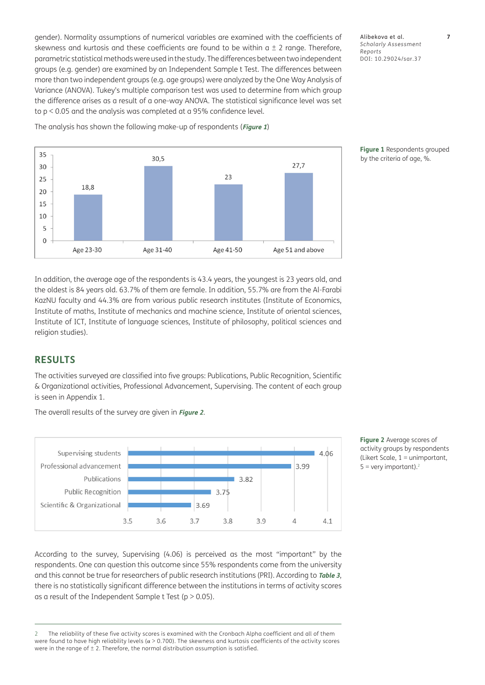gender). Normality assumptions of numerical variables are examined with the coefficients of skewness and kurtosis and these coefficients are found to be within  $a \pm 2$  range. Therefore, parametric statistical methods were used in the study. The differences between two independent groups (e.g. gender) are examined by an Independent Sample t Test. The differences between more than two independent groups (e.g. age groups) were analyzed by the One Way Analysis of Variance (ANOVA). Tukey's multiple comparison test was used to determine from which group the difference arises as a result of a one-way ANOVA. The statistical significance level was set to p < 0.05 and the analysis was completed at a 95% confidence level.

Alibekova et al. **7** *Scholarly Assessment Reports* DOI: 10.29024/sar.37



<span id="page-6-0"></span>**Figure 1** Respondents grouped by the criteria of age, %.

In addition, the average age of the respondents is 43.4 years, the youngest is 23 years old, and the oldest is 84 years old. 63.7% of them are female. In addition, 55.7% are from the Al-Farabi KazNU faculty and 44.3% are from various public research institutes (Institute of Economics, Institute of maths, Institute of mechanics and machine science, Institute of oriental sciences, Institute of ICT, Institute of language sciences, Institute of philosophy, political sciences and religion studies).

# **RESULTS**

The activities surveyed are classified into five groups: Publications, Public Recognition, Scientific & Organizational activities, Professional Advancement, Supervising. The content of each group is seen in Appendix 1.



The overall results of the survey are given in **[Figure 2](#page-6-1)**.

<span id="page-6-1"></span>**Figure 2** Average scores of activity groups by respondents (Likert Scale, 1 = unimportant,  $5 =$  very important).<sup>2</sup>

According to the survey, Supervising (4.06) is perceived as the most "important" by the respondents. One can question this outcome since 55% respondents come from the university and this cannot be true for researchers of public research institutions (PRI). According to **[Table 3](#page-7-0)**, there is no statistically significant difference between the institutions in terms of activity scores as a result of the Independent Sample t Test ( $p > 0.05$ ).

<sup>2</sup> The reliability of these five activity scores is examined with the Cronbach Alpha coefficient and all of them were found to have high reliability levels ( $\alpha$  > 0.700). The skewness and kurtosis coefficients of the activity scores were in the range of  $\pm$  2. Therefore, the normal distribution assumption is satisfied.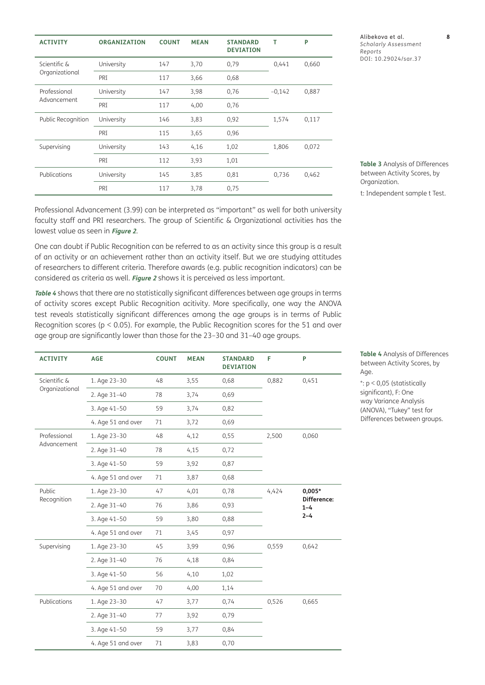| <b>ACTIVITY</b>                | <b>ORGANIZATION</b> | <b>COUNT</b> | <b>MEAN</b> | <b>STANDARD</b><br><b>DEVIATION</b> | т        | P     |
|--------------------------------|---------------------|--------------|-------------|-------------------------------------|----------|-------|
| Scientific &<br>Organizational | University          | 147          | 3,70        | 0,79                                | 0,441    | 0,660 |
|                                | PRI                 | 117          | 3,66        | 0,68                                |          |       |
| Professional<br>Advancement    | University          | 147          | 3,98        | 0,76                                | $-0,142$ | 0,887 |
|                                | PRI                 | 117          | 4,00        | 0,76                                |          |       |
| Public Recognition             | University          | 146          | 3,83        | 0,92                                | 1,574    | 0,117 |
|                                | PRI                 | 115          | 3,65        | 0,96                                |          |       |
| Supervising                    | University          | 143          | 4,16        | 1,02                                | 1,806    | 0,072 |
|                                | PRI                 | 112          | 3,93        | 1,01                                |          |       |
| Publications                   | University          | 145          | 3,85        | 0,81                                | 0,736    | 0,462 |
|                                | PRI                 | 117          | 3,78        | 0,75                                |          |       |

Alibekova et al. **8** *Scholarly Assessment Reports* DOI: 10.29024/sar.37

<span id="page-7-0"></span>**Table 3** Analysis of Differences between Activity Scores, by Organization.

t: Independent sample t Test.

Professional Advancement (3.99) can be interpreted as "important" as well for both university faculty staff and PRI researchers. The group of Scientific & Organizational activities has the lowest value as seen in **[Figure 2](#page-6-1)**.

One can doubt if Public Recognition can be referred to as an activity since this group is a result of an activity or an achievement rather than an activity itself. But we are studying attitudes of researchers to different criteria. Therefore awards (e.g. public recognition indicators) can be considered as criteria as well. **[Figure 2](#page-6-1)** shows it is perceived as less important.

**[Table 4](#page-7-1)** shows that there are no statistically significant differences between age groups in terms of activity scores except Public Recognition acitivity. More specifically, one way the ANOVA test reveals statistically significant differences among the age groups is in terms of Public Recognition scores ( $p < 0.05$ ). For example, the Public Recognition scores for the 51 and over age group are significantly lower than those for the 23–30 and 31–40 age groups.

| <b>ACTIVITY</b>                | <b>AGE</b>         | <b>COUNT</b> | <b>MEAN</b> | <b>STANDARD</b><br><b>DEVIATION</b> | F     | P                                                    |
|--------------------------------|--------------------|--------------|-------------|-------------------------------------|-------|------------------------------------------------------|
| Scientific &<br>Organizational | 1. Age 23-30       | 48           | 3,55        | 0,68                                | 0,882 | 0,451                                                |
|                                | 2. Age 31-40       | 78           | 3,74        | 0,69                                |       |                                                      |
|                                | 3. Age 41-50       | 59           | 3,74        | 0,82                                |       |                                                      |
|                                | 4. Age 51 and over | 71           | 3,72        | 0,69                                |       |                                                      |
| Professional<br>Advancement    | 1. Age 23-30       | 48           | 4,12        | 0,55                                | 2,500 | 0,060                                                |
|                                | 2. Age 31-40       | 78           | 4,15        | 0,72                                |       |                                                      |
|                                | 3. Age 41-50       | 59           | 3,92        | 0,87                                |       |                                                      |
|                                | 4. Age 51 and over | 71           | 3,87        | 0,68                                |       |                                                      |
| Public<br>Recognition          | 1. Age 23-30       | 47           | 4,01        | 0,78                                | 4,424 | $0,005*$<br><b>Difference:</b><br>$1 - 4$<br>$2 - 4$ |
|                                | 2. Age 31-40       | 76           | 3,86        | 0,93                                |       |                                                      |
|                                | 3. Age 41-50       | 59           | 3,80        | 0,88                                |       |                                                      |
|                                | 4. Age 51 and over | 71           | 3,45        | 0,97                                |       |                                                      |
| Supervising                    | 1. Age 23-30       | 45           | 3,99        | 0,96                                | 0,559 | 0,642                                                |
|                                | 2. Age 31-40       | 76           | 4,18        | 0,84                                |       |                                                      |
|                                | 3. Age 41-50       | 56           | 4,10        | 1,02                                |       |                                                      |
|                                | 4. Age 51 and over | 70           | 4,00        | 1,14                                |       |                                                      |
| Publications                   | 1. Age 23-30       | 47           | 3,77        | 0,74                                | 0,526 | 0,665                                                |
|                                | 2. Age 31-40       | 77           | 3,92        | 0,79                                |       |                                                      |
|                                | 3. Age 41-50       | 59           | 3,77        | 0,84                                |       |                                                      |
|                                | 4. Age 51 and over | 71           | 3,83        | 0,70                                |       |                                                      |

<span id="page-7-1"></span>**Table 4** Analysis of Differences between Activity Scores, by Age.

\*: p < 0,05 (statistically significant), F: One way Variance Analysis (ANOVA), "Tukey" test for Differences between groups.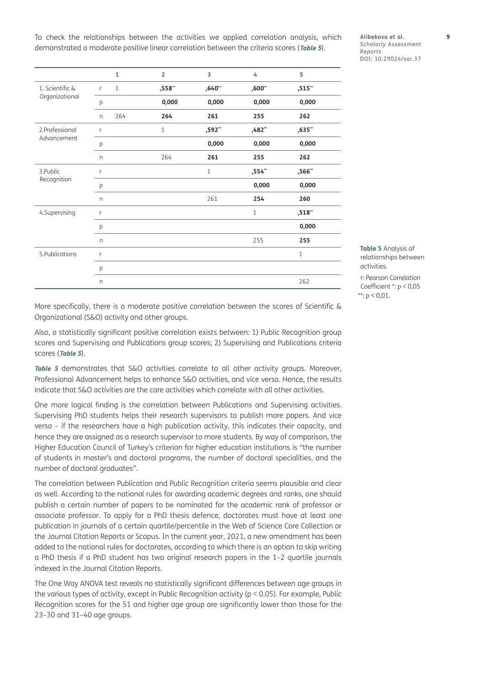To check the relationships between the activities we applied correlation analysis, which demonstrated a moderate positive linear correlation between the criteria scores (**[Table 5](#page-8-0)**).

**1 2 3 4 5** 1. Scientific & Organizational r 1 **,558\*\* ,640\*\* ,600\*\* ,515\*\*** p **0,000 0,000 0,000 0,000** n 264 **264 261 255 262** 2.Professional Advancement r 1 **,592\*\* ,482\*\* ,635\*\*** p **0,000 0,000 0,000** n 264 **261 255 262** 3.Public Recognition r 1 **,554\*\* ,566\*\*** p **0,000 0,000** n 261 **254 260** 4.Supervising r 1 **,518\*\*** p **0,000** n 255 **255** 5.Publications r 1 p n 262

Alibekova et al. **9** *Scholarly Assessment Reports* DOI: [10.29024/sar.37](https://doi.org/10.29024/sar.37)

<span id="page-8-0"></span>**Table 5** Analysis of relationships between activities. r: Pearson Correlation Coefficient \*: p < 0,05

\*\*:  $p < 0.01$ .

More specifically, there is a moderate positive correlation between the scores of Scientific & Organizational (S&O) activity and other groups.

Also, a statistically significant positive correlation exists between: 1) Public Recognition group scores and Supervising and Publications group scores; 2) Supervising and Publications criteria scores (**[Table 5](#page-8-0)**).

[Table 5](#page-8-0) demonstrates that S&O activities correlate to all other activity groups. Moreover, Professional Advancement helps to enhance S&O activities, and vice versa. Hence, the results indicate that S&O activities are the core activities which correlate with all other activities.

One more logical finding is the correlation between Publications and Supervising activities. Supervising PhD students helps their research supervisors to publish more papers. And vice versa – if the researchers have a high publication activity, this indicates their capacity, and hence they are assigned as a research supervisor to more students. By way of comparison, the Higher Education Council of Turkey's criterion for higher education institutions is "the number of students in master's and doctoral programs, the number of doctoral specialities, and the number of doctoral graduates".

The correlation between Publication and Public Recognition criteria seems plausible and clear as well. According to the national rules for awarding academic degrees and ranks, one should publish a certain number of papers to be nominated for the academic rank of professor or associate professor. To apply for a PhD thesis defence, doctorates must have at least one publication in journals of a certain quartile/percentile in the Web of Science Core Collection or the Journal Citation Reports or Scopus. In the current year, 2021, a new amendment has been added to the national rules for doctorates, according to which there is an option to skip writing a PhD thesis if a PhD student has two original research papers in the 1–2 quartile journals indexed in the Journal Citation Reports.

The One Way ANOVA test reveals no statistically significant differences between age groups in the various types of activity, except in Public Recognition activity (p < 0.05). For example, Public Recognition scores for the 51 and higher age group are significantly lower than those for the 23–30 and 31–40 age groups.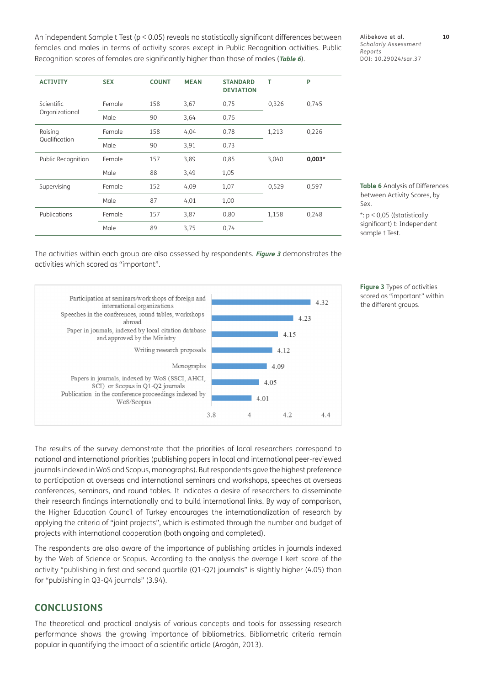An independent Sample t Test (p < 0.05) reveals no statistically significant differences between females and males in terms of activity scores except in Public Recognition activities. Public Recognition scores of females are significantly higher than those of males (**[Table 6](#page-9-0)**).

| <b>ACTIVITY</b>              | <b>SEX</b> | <b>COUNT</b> | <b>MEAN</b> | <b>STANDARD</b><br><b>DEVIATION</b> | т     | P        |
|------------------------------|------------|--------------|-------------|-------------------------------------|-------|----------|
| Scientific<br>Organizational | Female     | 158          | 3,67        | 0,75                                | 0,326 | 0,745    |
|                              | Male       | 90           | 3,64        | 0,76                                |       |          |
| Raising<br>Qualification     | Female     | 158          | 4,04        | 0,78                                | 1,213 | 0,226    |
|                              | Male       | 90           | 3,91        | 0,73                                |       |          |
| Public Recognition           | Female     | 157          | 3,89        | 0,85                                | 3,040 | $0,003*$ |
|                              | Male       | 88           | 3,49        | 1,05                                |       |          |
| Supervising                  | Female     | 152          | 4,09        | 1,07                                | 0,529 | 0,597    |
|                              | Male       | 87           | 4,01        | 1,00                                |       |          |
| Publications                 | Female     | 157          | 3,87        | 0,80                                | 1,158 | 0,248    |
|                              | Male       | 89           | 3,75        | 0,74                                |       |          |

Alibekova et al. **10** *Scholarly Assessment Reports* DOI: 10.29024/sar.37

<span id="page-9-0"></span>**Table 6** Analysis of Differences between Activity Scores, by Sex.

The activities within each group are also assessed by respondents. **[Figure 3](#page-9-1)** demonstrates the activities which scored as "important".



<span id="page-9-1"></span>**Figure 3** Types of activities scored as "important" within the different groups.

The results of the survey demonstrate that the priorities of local researchers correspond to national and international priorities (publishing papers in local and international peer-reviewed journals indexed in WoS and Scopus, monographs). But respondents gave the highest preference to participation at overseas and international seminars and workshops, speeches at overseas conferences, seminars, and round tables. It indicates a desire of researchers to disseminate their research findings internationally and to build international links. By way of comparison, the Higher Education Council of Turkey encourages the internationalization of research by applying the criteria of "joint projects", which is estimated through the number and budget of projects with international cooperation (both ongoing and completed).

The respondents are also aware of the importance of publishing articles in journals indexed by the Web of Science or Scopus. According to the analysis the average Likert score of the activity "publishing in first and second quartile (Q1-Q2) journals" is slightly higher (4.05) than for "publishing in Q3-Q4 journals" (3.94).

# **CONCLUSIONS**

The theoretical and practical analysis of various concepts and tools for assessing research performance shows the growing importance of bibliometrics. Bibliometric criteria remain popular in quantifying the impact of a scientific article (Aragón, 2013).

<sup>\*:</sup> p < 0,05 ((statistically significant) t: Independent sample t Test.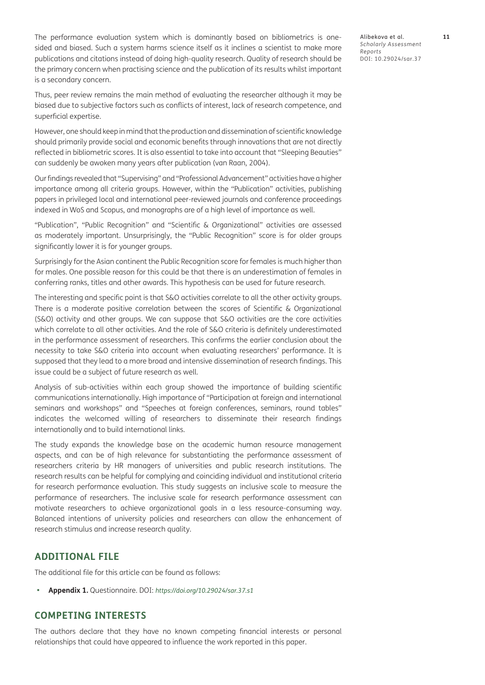The performance evaluation system which is dominantly based on bibliometrics is onesided and biased. Such a system harms science itself as it inclines a scientist to make more publications and citations instead of doing high-quality research. Quality of research should be the primary concern when practising science and the publication of its results whilst important is a secondary concern.

Thus, peer review remains the main method of evaluating the researcher although it may be biased due to subjective factors such as conflicts of interest, lack of research competence, and superficial expertise.

However, one should keep in mind that the production and dissemination of scientific knowledge should primarily provide social and economic benefits through innovations that are not directly reflected in bibliometric scores. It is also essential to take into account that "Sleeping Beauties" can suddenly be awoken many years after publication (van Raan, 2004).

Our findings revealed that "Supervising" and "Professional Advancement" activities have a higher importance among all criteria groups. However, within the "Publication" activities, publishing papers in privileged local and international peer-reviewed journals and conference proceedings indexed in WoS and Scopus, and monographs are of a high level of importance as well.

"Publication", "Public Recognition" and "Scientific & Organizational" activities are assessed as moderately important. Unsurprisingly, the "Public Recognition" score is for older groups significantly lower it is for younger groups.

Surprisingly for the Asian continent the Public Recognition score for females is much higher than for males. One possible reason for this could be that there is an underestimation of females in conferring ranks, titles and other awards. This hypothesis can be used for future research.

The interesting and specific point is that S&O activities correlate to all the other activity groups. There is a moderate positive correlation between the scores of Scientific & Organizational (S&O) activity and other groups. We can suppose that S&O activities are the core activities which correlate to all other activities. And the role of S&O criteria is definitely underestimated in the performance assessment of researchers. This confirms the earlier conclusion about the necessity to take S&O criteria into account when evaluating researchers' performance. It is supposed that they lead to a more broad and intensive dissemination of research findings. This issue could be a subject of future research as well.

Analysis of sub-activities within each group showed the importance of building scientific communications internationally. High importance of "Participation at foreign and international seminars and workshops" and "Speeches at foreign conferences, seminars, round tables" indicates the welcomed willing of researchers to disseminate their research findings internationally and to build international links.

The study expands the knowledge base on the academic human resource management aspects, and can be of high relevance for substantiating the performance assessment of researchers criteria by HR managers of universities and public research institutions. The research results can be helpful for complying and coinciding individual and institutional criteria for research performance evaluation. This study suggests an inclusive scale to measure the performance of researchers. The inclusive scale for research performance assessment can motivate researchers to achieve organizational goals in a less resource-consuming way. Balanced intentions of university policies and researchers can allow the enhancement of research stimulus and increase research quality.

# **ADDITIONAL FILE**

The additional file for this article can be found as follows:

**• Appendix 1.** Questionnaire. DOI: *<https://doi.org/10.29024/sar.37.s1>*

# **COMPETING INTERESTS**

The authors declare that they have no known competing financial interests or personal relationships that could have appeared to influence the work reported in this paper.

Alibekova et al. **11** *Scholarly Assessment Reports* DOI: 10.29024/sar.37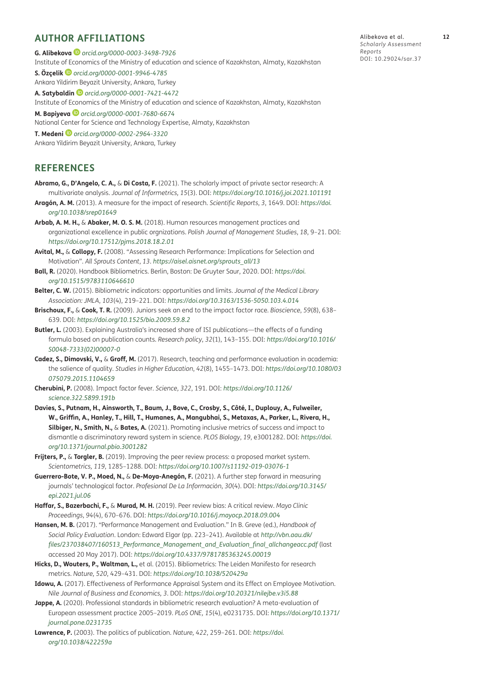# <span id="page-11-0"></span>**AUTHOR AFFILIATIONS**

**G. Alibekova** *[orcid.org/0000-0003-3498-7926](https://orcid.org/0000-0003-3498-7926)* Institute of Economics of the Ministry of education and science of Kazakhstan, Almaty, Kazakhstan **S. Özçelik** *[orcid.org/0000-0001-9946-4785](https://orcid.org/0000-0001-9946-4785)* Ankara Yildirim Beyazit University, Ankara, Turkey **A. Satybaldin** *[orcid.org/0000-0001-7421-4472](https://orcid.org/0000-0001-7421-4472)* Institute of Economics of the Ministry of education and science of Kazakhstan, Almaty, Kazakhstan **M. Bapiyeva** *[orcid.org/0000-0001-7680-6674](https://orcid.org/0000-0001-7680-6674)* National Center for Science and Technology Expertise, Almaty, Kazakhstan **T. Medeni***[orcid.org/0000-0002-2964-3320](https://orcid.org/0000-0002-2964-3320)* Ankara Yildirim Beyazit University, Ankara, Turkey

# **REFERENCES**

- **Abramo, G., D'Angelo, C. A.,** & **Di Costa, F.** (2021). The scholarly impact of private sector research: A multivariate analysis. *Journal of Informetrics, 15*(3). DOI: *<https://doi.org/10.1016/j.joi.2021.101191>*
- **Aragón, A. M.** (2013). A measure for the impact of research. *Scientific Reports*, *3*, 1649. DOI: *[https://doi.](https://doi.org/10.1038/srep01649) [org/10.1038/srep01649](https://doi.org/10.1038/srep01649)*
- **Arbab, A. M. H.,** & **Abaker, M. O. S. M.** (2018). Human resources management practices and organizational excellence in public orgnizations. *Polish Journal of Management Studies*, *18*, 9–21. DOI: *<https://doi.org/10.17512/pjms.2018.18.2.01>*
- **Avital, M.,** & **Collopy, F.** (2008). "Assessing Research Performance: Implications for Selection and Motivation". *All Sprouts Content*, *13*. *[https://aisel.aisnet.org/sprouts\\_all/13](https://aisel.aisnet.org/sprouts_all/13)*
- **Ball, R.** (2020). Handbook Bibliometrics. Berlin, Boston: De Gruyter Saur, 2020. DOI: *[https://doi.](https://doi.org/10.1515/9783110646610) [org/10.1515/9783110646610](https://doi.org/10.1515/9783110646610)*
- **Belter, C. W.** (2015). Bibliometric indicators: opportunities and limits. *Journal of the Medical Library Association: JMLA*, *103*(4), 219–221. DOI: *<https://doi.org/10.3163/1536-5050.103.4.014>*
- **Brischoux, F.,** & **Cook, T. R.** (2009). Juniors seek an end to the impact factor race. *Bioscience*, *59*(8), 638– 639. DOI: *<https://doi.org/10.1525/bio.2009.59.8.2>*
- **Butler, L.** (2003). Explaining Australia's increased share of ISI publications—the effects of a funding formula based on publication counts. *Research policy*, *32*(1), 143–155. DOI: *[https://doi.org/10.1016/](https://doi.org/10.1016/S0048-7333(02)00007-0) [S0048-7333\(02\)00007-0](https://doi.org/10.1016/S0048-7333(02)00007-0)*
- **Cadez, S., Dimovski, V.,** & **Groff, M.** (2017). Research, teaching and performance evaluation in academia: the salience of quality. *Studies in Higher Education*, *42*(8), 1455–1473. DOI: *[https://doi.org/10.1080/03](https://doi.org/10.1080/03075079.2015.1104659) [075079.2015.1104659](https://doi.org/10.1080/03075079.2015.1104659)*
- **Cherubini, P.** (2008). Impact factor fever. *Science, 322*, 191. DOI: *[https://doi.org/10.1126/](https://doi.org/10.1126/science.322.5899.191b) [science.322.5899.191b](https://doi.org/10.1126/science.322.5899.191b)*
- **Davies, S., Putnam, H., Ainsworth, T., Baum, J., Bove, C., Crosby, S., Côté, I., Duplouy, A., Fulweiler, W., Griffin, A., Hanley, T., Hill, T., Humanes, A., Mangubhai, S., Metaxas, A., Parker, L., Rivera, H., Silbiger, N., Smith, N.,** & **Bates, A.** (2021). Promoting inclusive metrics of success and impact to dismantle a discriminatory reward system in science. *PLOS Biology*, *19*, e3001282. DOI: *[https://doi.](https://doi.org/10.1371/journal.pbio.3001282) [org/10.1371/journal.pbio.3001282](https://doi.org/10.1371/journal.pbio.3001282)*
- **Frijters, P.,** & **Torgler, B.** (2019). Improving the peer review process: a proposed market system. *Scientometrics, 119*, 1285–1288. DOI: *<https://doi.org/10.1007/s11192-019-03076-1>*
- **Guerrero-Bote, V. P., Moed, N.,** & **De-Moya-Anegón, F.** (2021). A further step forward in measuring journals' technological factor. *Profesional De La Información*, *30*(4). DOI: *[https://doi.org/10.3145/](https://doi.org/10.3145/epi.2021.jul.06) [epi.2021.jul.06](https://doi.org/10.3145/epi.2021.jul.06)*
- **Haffar, S., Bazerbachi, F.,** & **Murad, M. H.** (2019). Peer review bias: A critical review. *Mayo Clinic Proceedings*, *94*(4), 670–676. DOI: *<https://doi.org/10.1016/j.mayocp.2018.09.004>*
- **Hansen, M. B.** (2017). "Performance Management and Evaluation." In B. Greve (ed.), *Handbook of Social Policy Evaluation*. London: Edward Elgar (pp. 223–241). Available at *[http://vbn.aau.dk/](http://vbn.aau.dk/files/237038407/160513_Performance_Management_and_Evaluation_final_allchangeacc.pdf) [files/237038407/160513\\_Performance\\_Management\\_and\\_Evaluation\\_final\\_allchangeacc.pdf](http://vbn.aau.dk/files/237038407/160513_Performance_Management_and_Evaluation_final_allchangeacc.pdf)* (last accessed 20 May 2017). DOI: *<https://doi.org/10.4337/9781785363245.00019>*
- **Hicks, D., Wouters, P., Waltman, L.,** et al. (2015). Bibliometrics: The Leiden Manifesto for research metrics. *Nature, 520*, 429–431. DOI: *<https://doi.org/10.1038/520429a>*
- **Idowu, A.** (2017). Effectiveness of Performance Appraisal System and its Effect on Employee Motivation. *Nile Journal of Business and Economics, 3*. DOI: *<https://doi.org/10.20321/nilejbe.v3i5.88>*
- Jappe, A. (2020). Professional standards in bibliometric research evaluation? A meta-evaluation of European assessment practice 2005–2019. *PLoS ONE, 15*(4), e0231735. DOI: *[https://doi.org/10.1371/](https://doi.org/10.1371/journal.pone.0231735) [journal.pone.0231735](https://doi.org/10.1371/journal.pone.0231735)*
- **Lawrence, P.** (2003). The politics of publication. *Nature, 422*, 259–261. DOI: *[https://doi.](https://doi.org/10.1038/422259a) [org/10.1038/422259a](https://doi.org/10.1038/422259a)*

Alibekova et al. **12** *Scholarly Assessment Reports* DOI: 10.29024/sar.37